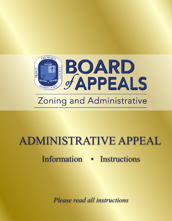

# ADMINISTRATIVE APPEAL

## Information • Instructions

*Please read all instructions*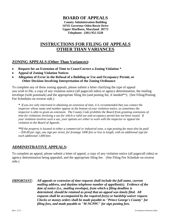#### **BOARD OF APPEALS**

**County Administration Building 14741 Governor Oden Bowie Drive Upper Marlboro, Maryland 20772 Telephone: (301) 952-3220**

### **INSTRUCTIONS FOR FILING OF APPEALS OTHER THAN VARIANCES**

#### **ZONING APPEALS (Other Than Variances):**

- **Request for an Extension of Time to Cease/Correct a Zoning Violation \***
- **Appeal of Zoning Violation Notices**
- **Allegation of Error in the Refusal of a Building or Use and Occupancy Permit, or Other Decision Involving Interpretation of the Zoning Ordinance**

To complete any of these zoning appeals, please submit a letter clarifying the type of appeal you wish to file, a copy of any violation notice (all pages/all sides) or agency determination, the mailing envelope (with postmark) and the appropriate filing fee (and posting fee, if needed\*\*). (See Filing/Posting Fee Schedules on reverse side.)

*\* If you are only interested in obtaining an extension of time, it is recommended that you contact the inspector whose name and number appear at the bottom of your violation notice, as sometimes the inspector is able to grant an extension. The County Code prohibits the Board from granting extensions of time for violations involving a use for which a valid use and occupancy permit has not been issued. If your violation involves such a use, your options are either to work with the inspector or appeal the violation to the Board of Appeals.* 

*\*\*If the property is located in either a commercial or industrial zone, a sign posting fee must also be paid -- \$30.00 per sign, one sign per street, for frontage 1000 feet or less in length, with an additional sign for each additional 1,000 feet.* 

#### **ADMINISTRATIVE APPEALS:**

To complete an appeal, please submit a letter of appeal, a copy of any violation notice (all pages/all sides) or agency determination being appealed, and the appropriate filing fee. (See Filing Fee Schedule on reverse side.)

*IMPORTANT: All appeals or extension of time requests shall include the full name, current mailing address, and daytime telephone number of appellant(s). Evidence of the date of notice (i.e., mailing envelope), from which a filing deadline is determined, should be retained as proof that an appeal was timely filed. All requests shall be accompanied by the required fee(s) or hardship waiver request. Checks or money orders shall be made payable to "Prince George's County" for filing fees, and made payable to "M-NCPPC" for sign posting fees.*